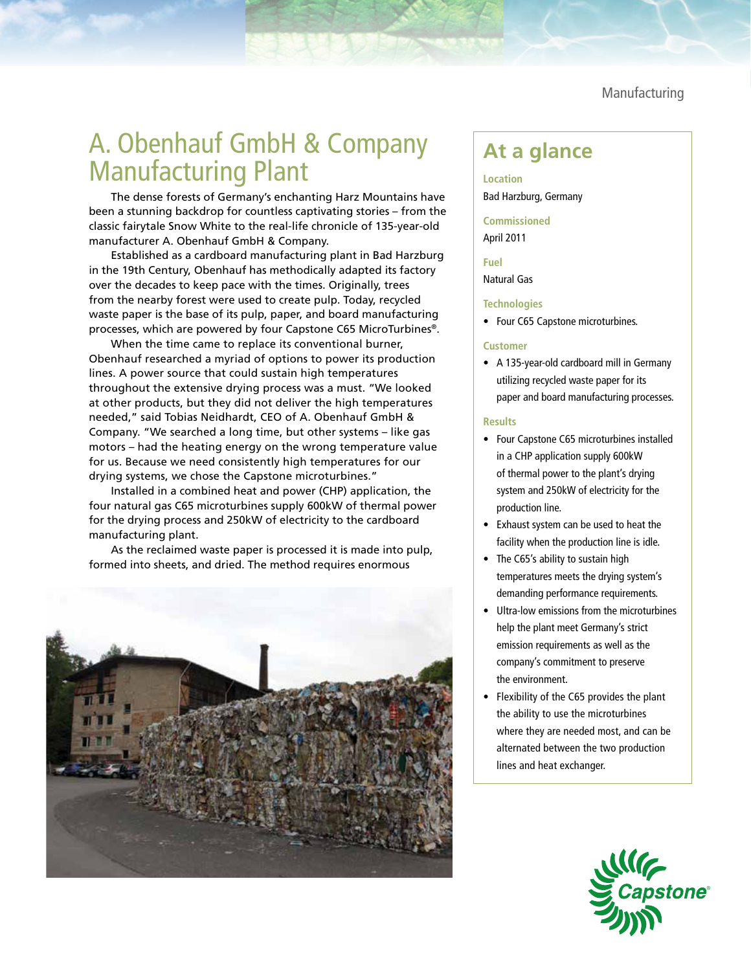Manufacturing

# A. Obenhauf GmbH & Company A. Oberlingul Gillbrick Company<br>Manufacturing Plant

The dense forests of Germany's enchanting Harz Mountains have been a stunning backdrop for countless captivating stories – from the classic fairytale Snow White to the real-life chronicle of 135-year-old manufacturer A. Obenhauf GmbH & Company.

Established as a cardboard manufacturing plant in Bad Harzburg in the 19th Century, Obenhauf has methodically adapted its factory over the decades to keep pace with the times. Originally, trees from the nearby forest were used to create pulp. Today, recycled waste paper is the base of its pulp, paper, and board manufacturing processes, which are powered by four Capstone C65 MicroTurbines®.

When the time came to replace its conventional burner, Obenhauf researched a myriad of options to power its production lines. A power source that could sustain high temperatures throughout the extensive drying process was a must. "We looked at other products, but they did not deliver the high temperatures needed," said Tobias Neidhardt, CEO of A. Obenhauf GmbH & Company. "We searched a long time, but other systems – like gas motors – had the heating energy on the wrong temperature value for us. Because we need consistently high temperatures for our drying systems, we chose the Capstone microturbines."

Installed in a combined heat and power (CHP) application, the four natural gas C65 microturbines supply 600kW of thermal power for the drying process and 250kW of electricity to the cardboard manufacturing plant.

As the reclaimed waste paper is processed it is made into pulp, formed into sheets, and dried. The method requires enormous



**Location** Bad Harzburg, Germany

**Commissioned** April 2011

**Fuel**

Natural Gas

### **Technologies**

• Four C65 Capstone microturbines.

# **Customer**

• A 135-year-old cardboard mill in Germany utilizing recycled waste paper for its paper and board manufacturing processes.

# **Results**

- Four Capstone C65 microturbines installed in a CHP application supply 600kW of thermal power to the plant's drying system and 250kW of electricity for the production line.
- Exhaust system can be used to heat the facility when the production line is idle.
- The C65's ability to sustain high temperatures meets the drying system's demanding performance requirements.
- Ultra-low emissions from the microturbines help the plant meet Germany's strict emission requirements as well as the company's commitment to preserve the environment.
- Flexibility of the C65 provides the plant the ability to use the microturbines where they are needed most, and can be alternated between the two production lines and heat exchanger.